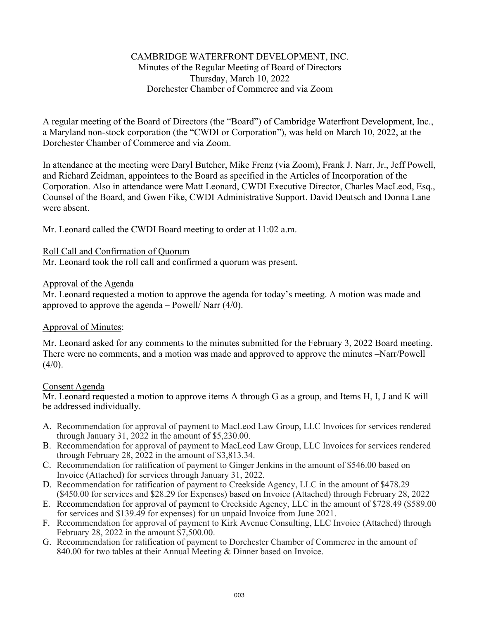## CAMBRIDGE WATERFRONT DEVELOPMENT, INC. Minutes of the Regular Meeting of Board of Directors Thursday, March 10, 2022 Dorchester Chamber of Commerce and via Zoom

A regular meeting of the Board of Directors (the "Board") of Cambridge Waterfront Development, Inc., a Maryland non-stock corporation (the "CWDI or Corporation"), was held on March 10, 2022, at the Dorchester Chamber of Commerce and via Zoom.

In attendance at the meeting were Daryl Butcher, Mike Frenz (via Zoom), Frank J. Narr, Jr., Jeff Powell, and Richard Zeidman, appointees to the Board as specified in the Articles of Incorporation of the Corporation. Also in attendance were Matt Leonard, CWDI Executive Director, Charles MacLeod, Esq., Counsel of the Board, and Gwen Fike, CWDI Administrative Support. David Deutsch and Donna Lane were absent.

Mr. Leonard called the CWDI Board meeting to order at 11:02 a.m.

#### Roll Call and Confirmation of Quorum

Mr. Leonard took the roll call and confirmed a quorum was present.

### Approval of the Agenda

Mr. Leonard requested a motion to approve the agenda for today's meeting. A motion was made and approved to approve the agenda  $-$  Powell/ Narr (4/0).

#### Approval of Minutes:

Mr. Leonard asked for any comments to the minutes submitted for the February 3, 2022 Board meeting. There were no comments, and a motion was made and approved to approve the minutes –Narr/Powell  $(4/0)$ .

#### Consent Agenda

Mr. Leonard requested a motion to approve items A through G as a group, and Items H, I, J and K will be addressed individually.

- A. Recommendation for approval of payment to MacLeod Law Group, LLC Invoices for services rendered through January 31, 2022 in the amount of \$5,230.00.
- B. Recommendation for approval of payment to MacLeod Law Group, LLC Invoices for services rendered through February 28, 2022 in the amount of \$3,813.34.
- C. Recommendation for ratification of payment to Ginger Jenkins in the amount of \$546.00 based on Invoice (Attached) for services through January 31, 2022.
- D. Recommendation for ratification of payment to Creekside Agency, LLC in the amount of \$478.29 (\$450.00 for services and \$28.29 for Expenses) based on Invoice (Attached) through February 28, 2022
- E. Recommendation for approval of payment to Creekside Agency, LLC in the amount of \$728.49 (\$589.00 for services and \$139.49 for expenses) for un unpaid Invoice from June 2021.
- F. Recommendation for approval of payment to Kirk Avenue Consulting, LLC Invoice (Attached) through February 28, 2022 in the amount \$7,500.00.
- G. Recommendation for ratification of payment to Dorchester Chamber of Commerce in the amount of 840.00 for two tables at their Annual Meeting & Dinner based on Invoice.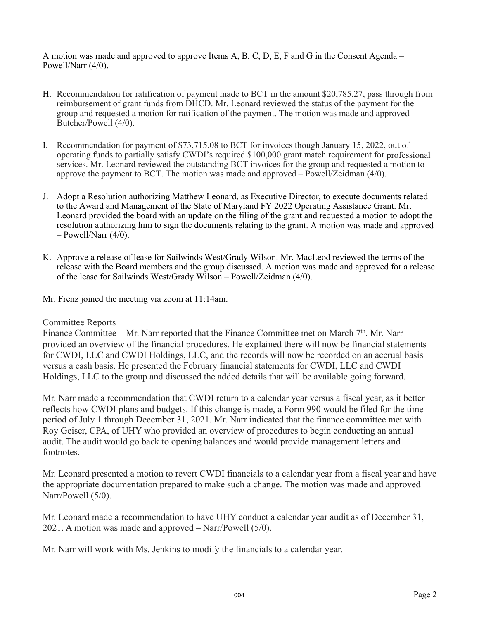A motion was made and approved to approve Items A, B, C, D, E, F and G in the Consent Agenda – Powell/Narr (4/0).

- H. Recommendation for ratification of payment made to BCT in the amount \$20,785.27, pass through from reimbursement of grant funds from DHCD. Mr. Leonard reviewed the status of the payment for the group and requested a motion for ratification of the payment. The motion was made and approved - Butcher/Powell (4/0).
- I. Recommendation for payment of \$73,715.08 to BCT for invoices though January 15, 2022, out of operating funds to partially satisfy CWDI's required \$100,000 grant match requirement for professional services. Mr. Leonard reviewed the outstanding BCT invoices for the group and requested a motion to approve the payment to BCT. The motion was made and approved – Powell/Zeidman (4/0).
- J. Adopt a Resolution authorizing Matthew Leonard, as Executive Director, to execute documents related to the Award and Management of the State of Maryland FY 2022 Operating Assistance Grant. Mr. Leonard provided the board with an update on the filing of the grant and requested a motion to adopt the resolution authorizing him to sign the documents relating to the grant. A motion was made and approved  $-$  Powell/Narr (4/0).
- K. Approve a release of lease for Sailwinds West/Grady Wilson. Mr. MacLeod reviewed the terms of the release with the Board members and the group discussed. A motion was made and approved for a release of the lease for Sailwinds West/Grady Wilson – Powell/Zeidman (4/0).
- Mr. Frenz joined the meeting via zoom at 11:14am.

#### Committee Reports

Finance Committee – Mr. Narr reported that the Finance Committee met on March  $7<sup>th</sup>$ . Mr. Narr provided an overview of the financial procedures. He explained there will now be financial statements for CWDI, LLC and CWDI Holdings, LLC, and the records will now be recorded on an accrual basis versus a cash basis. He presented the February financial statements for CWDI, LLC and CWDI Holdings, LLC to the group and discussed the added details that will be available going forward.

Mr. Narr made a recommendation that CWDI return to a calendar year versus a fiscal year, as it better reflects how CWDI plans and budgets. If this change is made, a Form 990 would be filed for the time period of July 1 through December 31, 2021. Mr. Narr indicated that the finance committee met with Roy Geiser, CPA, of UHY who provided an overview of procedures to begin conducting an annual audit. The audit would go back to opening balances and would provide management letters and footnotes.

Mr. Leonard presented a motion to revert CWDI financials to a calendar year from a fiscal year and have the appropriate documentation prepared to make such a change. The motion was made and approved – Narr/Powell (5/0).

Mr. Leonard made a recommendation to have UHY conduct a calendar year audit as of December 31, 2021. A motion was made and approved – Narr/Powell (5/0).

Mr. Narr will work with Ms. Jenkins to modify the financials to a calendar year.